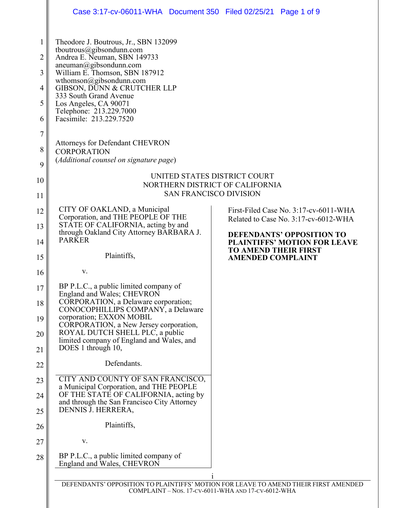|                                              | Case 3:17-cv-06011-WHA Document 350 Filed 02/25/21 Page 1 of 9                                                                                                                                                                                                                                                                   |                                                                                                                                           |  |
|----------------------------------------------|----------------------------------------------------------------------------------------------------------------------------------------------------------------------------------------------------------------------------------------------------------------------------------------------------------------------------------|-------------------------------------------------------------------------------------------------------------------------------------------|--|
| 1<br>$\overline{2}$<br>3<br>4<br>5<br>6<br>7 | Theodore J. Boutrous, Jr., SBN 132099<br>tboutrous@gibsondunn.com<br>Andrea E. Neuman, SBN 149733<br>aneuman@gibsondunn.com<br>William E. Thomson, SBN 187912<br>wthomson@gibsondunn.com<br>GIBSON, DUNN & CRUTCHER LLP<br>333 South Grand Avenue<br>Los Angeles, CA 90071<br>Telephone: 213.229.7000<br>Facsimile: 213.229.7520 |                                                                                                                                           |  |
| 8<br>9                                       | <b>Attorneys for Defendant CHEVRON</b><br><b>CORPORATION</b><br>(Additional counsel on signature page)                                                                                                                                                                                                                           |                                                                                                                                           |  |
| 10<br>11                                     | UNITED STATES DISTRICT COURT<br>NORTHERN DISTRICT OF CALIFORNIA<br><b>SAN FRANCISCO DIVISION</b>                                                                                                                                                                                                                                 |                                                                                                                                           |  |
| 12<br>13                                     | CITY OF OAKLAND, a Municipal<br>Corporation, and THE PEOPLE OF THE<br>STATE OF CALIFORNIA, acting by and<br>through Oakland City Attorney BARBARA J.                                                                                                                                                                             | First-Filed Case No. 3:17-cv-6011-WHA<br>Related to Case No. 3:17-cv-6012-WHA<br><b>DEFENDANTS' OPPOSITION TO</b>                         |  |
| 14<br>15                                     | <b>PARKER</b><br>Plaintiffs,                                                                                                                                                                                                                                                                                                     | <b>PLAINTIFFS' MOTION FOR LEAVE</b><br><b>TO AMEND THEIR FIRST</b><br><b>AMENDED COMPLAINT</b>                                            |  |
| 16                                           | V.                                                                                                                                                                                                                                                                                                                               |                                                                                                                                           |  |
| 17<br>18                                     | BP P.L.C., a public limited company of<br>England and Wales; CHEVRON<br>CORPORATION, a Delaware corporation;<br>CONOCOPHILLIPS COMPANY, a Delaware                                                                                                                                                                               |                                                                                                                                           |  |
| 19                                           | corporation; EXXON MOBIL<br>CORPORATION, a New Jersey corporation,                                                                                                                                                                                                                                                               |                                                                                                                                           |  |
| 20<br>21                                     | ROYAL DUTCH SHELL PLC, a public<br>limited company of England and Wales, and<br>DOES 1 through 10,                                                                                                                                                                                                                               |                                                                                                                                           |  |
| 22                                           | Defendants.                                                                                                                                                                                                                                                                                                                      |                                                                                                                                           |  |
| 23                                           | CITY AND COUNTY OF SAN FRANCISCO,                                                                                                                                                                                                                                                                                                |                                                                                                                                           |  |
| 24                                           | a Municipal Corporation, and THE PEOPLE<br>OF THE STATE OF CALIFORNIA, acting by                                                                                                                                                                                                                                                 |                                                                                                                                           |  |
| 25                                           | and through the San Francisco City Attorney<br>DENNIS J. HERRERA,                                                                                                                                                                                                                                                                |                                                                                                                                           |  |
| 26                                           | Plaintiffs,                                                                                                                                                                                                                                                                                                                      |                                                                                                                                           |  |
| 27                                           | V.                                                                                                                                                                                                                                                                                                                               |                                                                                                                                           |  |
| 28                                           | BP P.L.C., a public limited company of<br>England and Wales, CHEVRON                                                                                                                                                                                                                                                             |                                                                                                                                           |  |
|                                              |                                                                                                                                                                                                                                                                                                                                  | DEFENDANTS' OPPOSITION TO PLAINTIFFS' MOTION FOR LEAVE TO AMEND THEIR FIRST AMENDED<br>COMPLAINT - Nos. 17-CV-6011-WHA AND 17-CV-6012-WHA |  |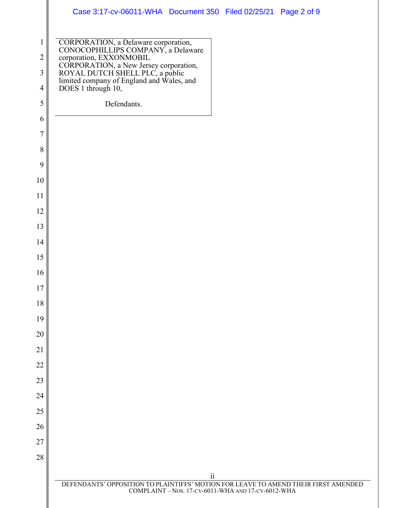|                | Case 3:17-cv-06011-WHA Document 350 Filed 02/25/21 Page 2 of 9                                                                                                                                                                                   |
|----------------|--------------------------------------------------------------------------------------------------------------------------------------------------------------------------------------------------------------------------------------------------|
| $\mathbf{1}$   | CORPORATION, a Delaware corporation,<br>CONOCOPHILLIPS COMPANY, a Delaware<br>corporation, EXXONMOBIL<br>CORPORATION, a New Jersey corporation,<br>ROYAL DUTCH SHELL PLC, a public<br>limited company of England and Wales, and<br>DOES 1 throug |
| $\overline{2}$ |                                                                                                                                                                                                                                                  |
| 3              |                                                                                                                                                                                                                                                  |
| $\overline{4}$ |                                                                                                                                                                                                                                                  |
| 5              | Defendants.                                                                                                                                                                                                                                      |
| 6              |                                                                                                                                                                                                                                                  |
| 7              |                                                                                                                                                                                                                                                  |
| 8              |                                                                                                                                                                                                                                                  |
| 9              |                                                                                                                                                                                                                                                  |
| 10             |                                                                                                                                                                                                                                                  |
| 11             |                                                                                                                                                                                                                                                  |
| 12             |                                                                                                                                                                                                                                                  |
| 13             |                                                                                                                                                                                                                                                  |
| 14             |                                                                                                                                                                                                                                                  |
| 15             |                                                                                                                                                                                                                                                  |
| 16             |                                                                                                                                                                                                                                                  |
| $17\,$         |                                                                                                                                                                                                                                                  |
| 18             |                                                                                                                                                                                                                                                  |
| 19             |                                                                                                                                                                                                                                                  |
| 20             |                                                                                                                                                                                                                                                  |
| 21             |                                                                                                                                                                                                                                                  |
| 22             |                                                                                                                                                                                                                                                  |
| 23             |                                                                                                                                                                                                                                                  |
| 24             |                                                                                                                                                                                                                                                  |
| 25             |                                                                                                                                                                                                                                                  |
| 26<br>27       |                                                                                                                                                                                                                                                  |
| 28             |                                                                                                                                                                                                                                                  |
|                |                                                                                                                                                                                                                                                  |
|                | $\mathbf{ii}$<br>DEFENDANTS' OPPOSITION TO PLAINTIFFS' MOTION FOR LEAVE TO AMEND THEIR FIRST AMENDED                                                                                                                                             |
|                | COMPLAINT - Nos. 17-CV-6011-WHA AND 17-CV-6012-WHA                                                                                                                                                                                               |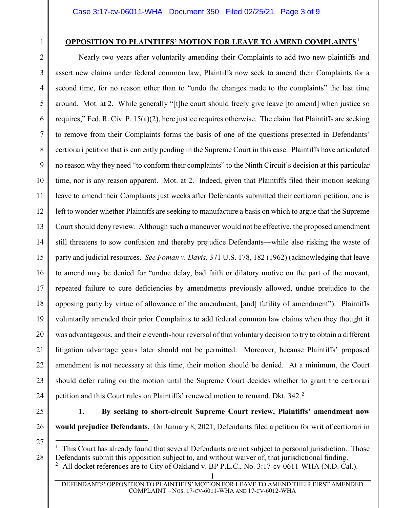### **OPPOSITION TO PLAINTIFFS' MOTION FOR LEAVE TO AMEND COMPLAINTS**[1](#page-2-0)

2 3 4 5 6 7 8 9 10 11 12 13 14 15 16 17 18 19 20 21 22 23 24 Nearly two years after voluntarily amending their Complaints to add two new plaintiffs and assert new claims under federal common law, Plaintiffs now seek to amend their Complaints for a second time, for no reason other than to "undo the changes made to the complaints" the last time around. Mot. at 2. While generally "[t]he court should freely give leave [to amend] when justice so requires," Fed. R. Civ. P. 15(a)(2), here justice requires otherwise. The claim that Plaintiffs are seeking to remove from their Complaints forms the basis of one of the questions presented in Defendants' certiorari petition that is currently pending in the Supreme Court in this case. Plaintiffs have articulated no reason why they need "to conform their complaints" to the Ninth Circuit's decision at this particular time, nor is any reason apparent. Mot. at 2. Indeed, given that Plaintiffs filed their motion seeking leave to amend their Complaints just weeks after Defendants submitted their certiorari petition, one is left to wonder whether Plaintiffs are seeking to manufacture a basis on which to argue that the Supreme Court should deny review. Although such a maneuver would not be effective, the proposed amendment still threatens to sow confusion and thereby prejudice Defendants—while also risking the waste of party and judicial resources. *See Foman v. Davis*, 371 U.S. 178, 182 (1962) (acknowledging that leave to amend may be denied for "undue delay, bad faith or dilatory motive on the part of the movant, repeated failure to cure deficiencies by amendments previously allowed, undue prejudice to the opposing party by virtue of allowance of the amendment, [and] futility of amendment"). Plaintiffs voluntarily amended their prior Complaints to add federal common law claims when they thought it was advantageous, and their eleventh-hour reversal of that voluntary decision to try to obtain a different litigation advantage years later should not be permitted. Moreover, because Plaintiffs' proposed amendment is not necessary at this time, their motion should be denied. At a minimum, the Court should defer ruling on the motion until the Supreme Court decides whether to grant the certiorari petition and this Court rules on Plaintiffs' renewed motion to remand, Dkt. 34[2](#page-2-1).<sup>2</sup>

25

1

26

**1. By seeking to short-circuit Supreme Court review, Plaintiffs' amendment now would prejudice Defendants.** On January 8, 2021, Defendants filed a petition for writ of certiorari in

<span id="page-2-0"></span>27

<span id="page-2-1"></span>28

 $\frac{1}{1}$  This Court has already found that several Defendants are not subject to personal jurisdiction. Those Defendants submit this opposition subject to, and without waiver of, that jurisdictional finding. 2

<sup>1</sup> All docket references are to City of Oakland v. BP P.L.C., No. 3:17-cv-0611-WHA (N.D. Cal.).

DEFENDANTS' OPPOSITION TO PLAINTIFFS' MOTION FOR LEAVE TO AMEND THEIR FIRST AMENDED COMPLAINT – NOS. 17-CV-6011-WHA AND 17-CV-6012-WHA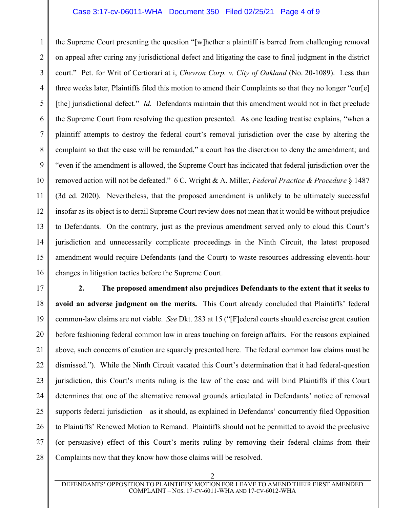### Case 3:17-cv-06011-WHA Document 350 Filed 02/25/21 Page 4 of 9

1 2 3 4 5 6 7 8 9 10 11 12 13 14 15 16 the Supreme Court presenting the question "[w]hether a plaintiff is barred from challenging removal on appeal after curing any jurisdictional defect and litigating the case to final judgment in the district court." Pet. for Writ of Certiorari at i, *Chevron Corp. v. City of Oakland* (No. 20-1089). Less than three weeks later, Plaintiffs filed this motion to amend their Complaints so that they no longer "cur[e] [the] jurisdictional defect." *Id.* Defendants maintain that this amendment would not in fact preclude the Supreme Court from resolving the question presented. As one leading treatise explains, "when a plaintiff attempts to destroy the federal court's removal jurisdiction over the case by altering the complaint so that the case will be remanded," a court has the discretion to deny the amendment; and "even if the amendment is allowed, the Supreme Court has indicated that federal jurisdiction over the removed action will not be defeated." 6 C. Wright & A. Miller, *Federal Practice & Procedure* § 1487 (3d ed. 2020). Nevertheless, that the proposed amendment is unlikely to be ultimately successful insofar as its object is to derail Supreme Court review does not mean that it would be without prejudice to Defendants. On the contrary, just as the previous amendment served only to cloud this Court's jurisdiction and unnecessarily complicate proceedings in the Ninth Circuit, the latest proposed amendment would require Defendants (and the Court) to waste resources addressing eleventh-hour changes in litigation tactics before the Supreme Court.

17 18 19 20 21 22 23 24 25 26 27 28 **2. The proposed amendment also prejudices Defendants to the extent that it seeks to avoid an adverse judgment on the merits.** This Court already concluded that Plaintiffs' federal common-law claims are not viable. *See* Dkt. 283 at 15 ("[F]ederal courts should exercise great caution before fashioning federal common law in areas touching on foreign affairs. For the reasons explained above, such concerns of caution are squarely presented here. The federal common law claims must be dismissed."). While the Ninth Circuit vacated this Court's determination that it had federal-question jurisdiction, this Court's merits ruling is the law of the case and will bind Plaintiffs if this Court determines that one of the alternative removal grounds articulated in Defendants' notice of removal supports federal jurisdiction—as it should, as explained in Defendants' concurrently filed Opposition to Plaintiffs' Renewed Motion to Remand. Plaintiffs should not be permitted to avoid the preclusive (or persuasive) effect of this Court's merits ruling by removing their federal claims from their Complaints now that they know how those claims will be resolved.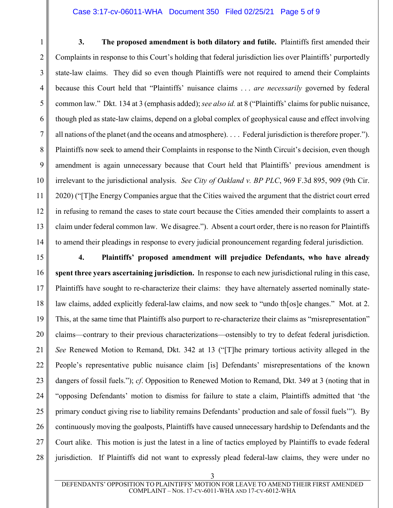### Case 3:17-cv-06011-WHA Document 350 Filed 02/25/21 Page 5 of 9

1 2 3 4 5 6 7 8 9 10 11 12 13 14 **3. The proposed amendment is both dilatory and futile.** Plaintiffs first amended their Complaints in response to this Court's holding that federal jurisdiction lies over Plaintiffs' purportedly state-law claims. They did so even though Plaintiffs were not required to amend their Complaints because this Court held that "Plaintiffs' nuisance claims . . . *are necessarily* governed by federal common law." Dkt. 134 at 3 (emphasis added); *see also id.* at 8 ("Plaintiffs' claims for public nuisance, though pled as state-law claims, depend on a global complex of geophysical cause and effect involving all nations of the planet (and the oceans and atmosphere). . . . Federal jurisdiction is therefore proper."). Plaintiffs now seek to amend their Complaints in response to the Ninth Circuit's decision, even though amendment is again unnecessary because that Court held that Plaintiffs' previous amendment is irrelevant to the jurisdictional analysis. *See City of Oakland v. BP PLC*, 969 F.3d 895, 909 (9th Cir. 2020) ("[T]he Energy Companies argue that the Cities waived the argument that the district court erred in refusing to remand the cases to state court because the Cities amended their complaints to assert a claim under federal common law. We disagree."). Absent a court order, there is no reason for Plaintiffs to amend their pleadings in response to every judicial pronouncement regarding federal jurisdiction.

15 16 17 18 19 20 21 22 23 24 25 26 27 28 **4. Plaintiffs' proposed amendment will prejudice Defendants, who have already spent three years ascertaining jurisdiction.** In response to each new jurisdictional ruling in this case, Plaintiffs have sought to re-characterize their claims: they have alternately asserted nominally statelaw claims, added explicitly federal-law claims, and now seek to "undo th[os]e changes." Mot. at 2. This, at the same time that Plaintiffs also purport to re-characterize their claims as "misrepresentation" claims—contrary to their previous characterizations—ostensibly to try to defeat federal jurisdiction. *See* Renewed Motion to Remand, Dkt. 342 at 13 ("[T]he primary tortious activity alleged in the People's representative public nuisance claim [is] Defendants' misrepresentations of the known dangers of fossil fuels."); *cf*. Opposition to Renewed Motion to Remand, Dkt. 349 at 3 (noting that in "opposing Defendants' motion to dismiss for failure to state a claim, Plaintiffs admitted that 'the primary conduct giving rise to liability remains Defendants' production and sale of fossil fuels'"). By continuously moving the goalposts, Plaintiffs have caused unnecessary hardship to Defendants and the Court alike. This motion is just the latest in a line of tactics employed by Plaintiffs to evade federal jurisdiction. If Plaintiffs did not want to expressly plead federal-law claims, they were under no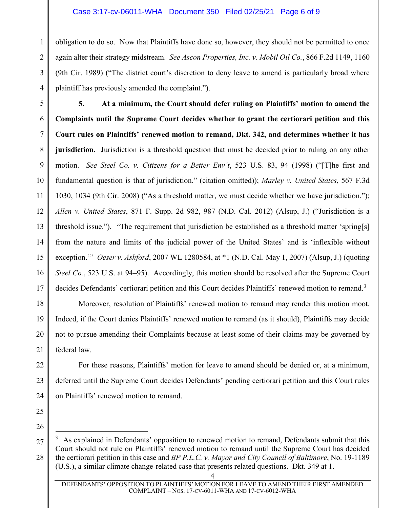## Case 3:17-cv-06011-WHA Document 350 Filed 02/25/21 Page 6 of 9

obligation to do so. Now that Plaintiffs have done so, however, they should not be permitted to once again alter their strategy midstream. *See Ascon Properties, Inc. v. Mobil Oil Co.*, 866 F.2d 1149, 1160 (9th Cir. 1989) ("The district court's discretion to deny leave to amend is particularly broad where plaintiff has previously amended the complaint.").

5 6 7 8 9 10 11 12 13 14 15 16 17 **5. At a minimum, the Court should defer ruling on Plaintiffs' motion to amend the Complaints until the Supreme Court decides whether to grant the certiorari petition and this Court rules on Plaintiffs' renewed motion to remand, Dkt. 342, and determines whether it has jurisdiction.** Jurisdiction is a threshold question that must be decided prior to ruling on any other motion. *See Steel Co. v. Citizens for a Better Env't*, 523 U.S. 83, 94 (1998) ("[T]he first and fundamental question is that of jurisdiction." (citation omitted)); *Marley v. United States*, 567 F.3d 1030, 1034 (9th Cir. 2008) ("As a threshold matter, we must decide whether we have jurisdiction."); *Allen v. United States*, 871 F. Supp. 2d 982, 987 (N.D. Cal. 2012) (Alsup, J.) ("Jurisdiction is a threshold issue."). "The requirement that jurisdiction be established as a threshold matter 'spring[s] from the nature and limits of the judicial power of the United States' and is 'inflexible without exception.'" *Oeser v. Ashford*, 2007 WL 1280584, at \*1 (N.D. Cal. May 1, 2007) (Alsup, J.) (quoting *Steel Co.*, 523 U.S. at 94–95). Accordingly, this motion should be resolved after the Supreme Court decides Defendants' certiorari petition and this Court decides Plaintiffs' renewed motion to remand.<sup>[3](#page-5-0)</sup>

Moreover, resolution of Plaintiffs' renewed motion to remand may render this motion moot. Indeed, if the Court denies Plaintiffs' renewed motion to remand (as it should), Plaintiffs may decide not to pursue amending their Complaints because at least some of their claims may be governed by federal law.

For these reasons, Plaintiffs' motion for leave to amend should be denied or, at a minimum, deferred until the Supreme Court decides Defendants' pending certiorari petition and this Court rules on Plaintiffs' renewed motion to remand.

25 26

18

19

20

21

22

23

24

1

2

3

4

4

<span id="page-5-0"></span><sup>27</sup> 28 3 As explained in Defendants' opposition to renewed motion to remand, Defendants submit that this Court should not rule on Plaintiffs' renewed motion to remand until the Supreme Court has decided the certiorari petition in this case and *BP P.L.C. v. Mayor and City Council of Baltimore*, No. 19-1189 (U.S.), a similar climate change-related case that presents related questions. Dkt. 349 at 1.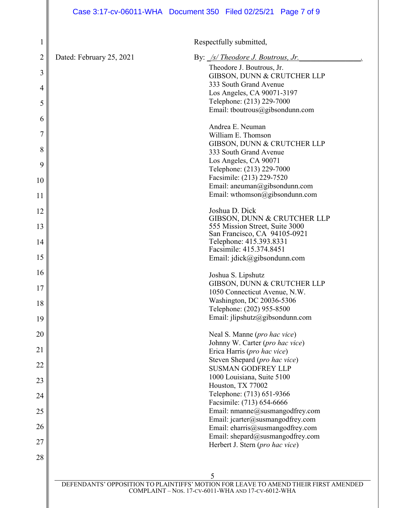Respectfully submitted,

| $\mathbf 1$ |                                                                                          | Respectfully submitted,                                             |
|-------------|------------------------------------------------------------------------------------------|---------------------------------------------------------------------|
| 2           | Dated: February 25, 2021                                                                 | By: <u>/s/ Theodore J. Boutrous, Jr.</u>                            |
| 3           |                                                                                          | Theodore J. Boutrous, Jr.                                           |
|             |                                                                                          | GIBSON, DUNN & CRUTCHER LLP                                         |
| 4           |                                                                                          | 333 South Grand Avenue                                              |
|             |                                                                                          | Los Angeles, CA 90071-3197<br>Telephone: (213) 229-7000             |
| 5           |                                                                                          | Email: tboutrous@gibsondunn.com                                     |
| 6           |                                                                                          |                                                                     |
|             |                                                                                          | Andrea E. Neuman                                                    |
| 7           |                                                                                          | William E. Thomson                                                  |
| 8           |                                                                                          | GIBSON, DUNN & CRUTCHER LLP                                         |
|             |                                                                                          | 333 South Grand Avenue                                              |
| 9           |                                                                                          | Los Angeles, CA 90071                                               |
|             |                                                                                          | Telephone: (213) 229-7000<br>Facsimile: (213) 229-7520              |
| 10          |                                                                                          | Email: aneuman@gibsondunn.com                                       |
| 11          |                                                                                          | Email: wthomson@gibsondunn.com                                      |
|             |                                                                                          |                                                                     |
| 12          |                                                                                          | Joshua D. Dick                                                      |
|             |                                                                                          | GIBSON, DUNN & CRUTCHER LLP                                         |
| 13          |                                                                                          | 555 Mission Street, Suite 3000<br>San Francisco, CA 94105-0921      |
| 14          |                                                                                          | Telephone: 415.393.8331                                             |
|             |                                                                                          | Facsimile: 415.374.8451                                             |
| 15          |                                                                                          | Email: jdick@gibsondunn.com                                         |
| 16          |                                                                                          |                                                                     |
|             |                                                                                          | Joshua S. Lipshutz                                                  |
| 17          |                                                                                          | GIBSON, DUNN & CRUTCHER LLP<br>1050 Connecticut Avenue, N.W.        |
|             |                                                                                          | Washington, DC 20036-5306                                           |
| 18          |                                                                                          | Telephone: (202) 955-8500                                           |
| 19          |                                                                                          | Email: jlipshutz@gibsondunn.com                                     |
|             |                                                                                          |                                                                     |
| 20          |                                                                                          | Neal S. Manne (pro hac vice)                                        |
| 21          |                                                                                          | Johnny W. Carter (pro hac vice)                                     |
|             |                                                                                          | Erica Harris (pro hac vice)                                         |
| 22          |                                                                                          | Steven Shepard (pro hac vice)<br><b>SUSMAN GODFREY LLP</b>          |
|             |                                                                                          | 1000 Louisiana, Suite 5100                                          |
| 23          |                                                                                          | Houston, TX 77002                                                   |
| 24          |                                                                                          | Telephone: (713) 651-9366                                           |
|             |                                                                                          | Facsimile: (713) 654-6666                                           |
| 25          |                                                                                          | Email: nmanne@susmangodfrey.com                                     |
|             |                                                                                          | Email: jcarter@susmangodfrey.com                                    |
| 26          |                                                                                          | Email: eharris@susmangodfrey.com                                    |
| 27          |                                                                                          | Email: shepard@susmangodfrey.com<br>Herbert J. Stern (pro hac vice) |
|             |                                                                                          |                                                                     |
| 28          |                                                                                          |                                                                     |
|             |                                                                                          |                                                                     |
|             | 5<br>DEFENDANTS' OPPOSITION TO PLAINTIFFS' MOTION FOR LEAVE TO AMEND THEIR FIRST AMENDED |                                                                     |
|             |                                                                                          |                                                                     |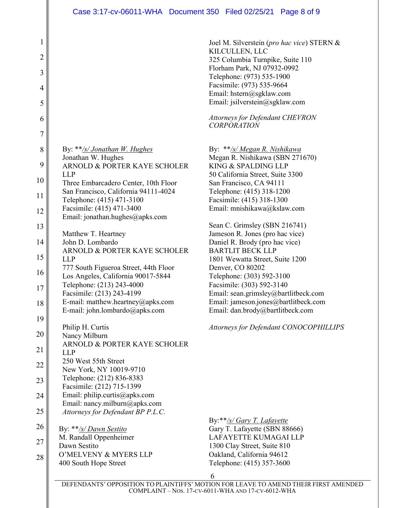1 2 3 4 5 6 7 8 9 10 11 12 13 14 15 16 17 18 19 20 21 22 23 24 25 26 27 28 Joel M. Silverstein (*pro hac vice*) STERN & KILCULLEN, LLC By: \*\**/s/ Jonathan W. Hughes*  Jonathan W. Hughes ARNOLD & PORTER KAYE SCHOLER LLP Three Embarcadero Center, 10th Floor San Francisco, California 94111-4024 Telephone: (415) 471-3100 Facsimile: (415) 471-3400 Email: jonathan.hughes@apks.com Matthew T. Heartney John D. Lombardo ARNOLD & PORTER KAYE SCHOLER LLP 777 South Figueroa Street, 44th Floor Los Angeles, California 90017-5844 Telephone: (213) 243-4000 Facsimile: (213) 243-4199 E-mail: matthew.heartney@apks.com E-mail: john.lombardo@apks.com Philip H. Curtis Nancy Milburn ARNOLD & PORTER KAYE SCHOLER LLP 250 West 55th Street New York, NY 10019-9710 Telephone: (212) 836-8383 Facsimile: (212) 715-1399 Email: philip.curtis@apks.com Email: nancy.milburn@apks.com *Attorneys for Defendant BP P.L.C.*  Email: dan.brody@bartlitbeck.com By: \*\**/s/ Dawn Sestito* M. Randall Oppenheimer Dawn Sestito O'MELVENY & MYERS LLP 400 South Hope Street

325 Columbia Turnpike, Suite 110 Florham Park, NJ 07932-0992 Telephone: (973) 535-1900 Facsimile: (973) 535-9664 Email: [hstern@sgklaw.com](mailto:hstern@sgklaw.com) Email: [jsilverstein@sgklaw.com](mailto:jsilverstein@sgklaw.com) *Attorneys for Defendant CHEVRON CORPORATION* By: \*\**/s/ Megan R. Nishikawa*  Megan R. Nishikawa (SBN 271670) KING & SPALDING LLP 50 California Street, Suite 3300 San Francisco, CA 94111 Telephone: (415) 318-1200 Facsimile: (415) 318-1300 Email: mnishikawa@kslaw.com Sean C. Grimsley (SBN 216741) Jameson R. Jones (pro hac vice) Daniel R. Brody (pro hac vice) BARTLIT BECK LLP 1801 Wewatta Street, Suite 1200 Denver, CO 80202 Telephone: (303) 592-3100 Facsimile: (303) 592-3140 Email: sean.grimsley@bartlitbeck.com Email: jameson.jones@bartlitbeck.com

*Attorneys for Defendant CONOCOPHILLIPS*

By:\*\**/s/ Gary T. Lafayette* Gary T. Lafayette (SBN 88666) LAFAYETTE KUMAGAI LLP 1300 Clay Street, Suite 810 Oakland, California 94612 Telephone: (415) 357-3600

6